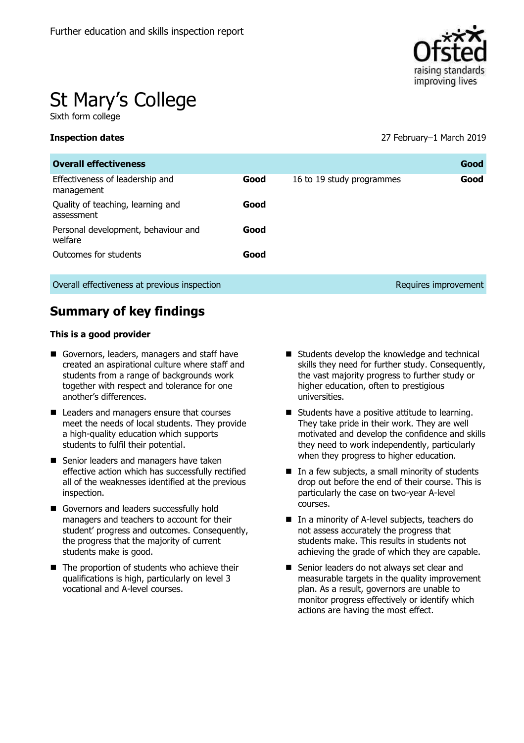

# St Mary's College

Sixth form college

**Inspection dates** 27 February–1 March 2019

| <b>Overall effectiveness</b>                    |      |                           | Good                 |
|-------------------------------------------------|------|---------------------------|----------------------|
| Effectiveness of leadership and<br>management   | Good | 16 to 19 study programmes | Good                 |
| Quality of teaching, learning and<br>assessment | Good |                           |                      |
| Personal development, behaviour and<br>welfare  | Good |                           |                      |
| Outcomes for students                           | Good |                           |                      |
| Overall effectiveness at previous inspection    |      |                           | Requires improvement |

# **Summary of key findings**

#### **This is a good provider**

- Governors, leaders, managers and staff have created an aspirational culture where staff and students from a range of backgrounds work together with respect and tolerance for one another's differences.
- Leaders and managers ensure that courses meet the needs of local students. They provide a high-quality education which supports students to fulfil their potential.
- Senior leaders and managers have taken effective action which has successfully rectified all of the weaknesses identified at the previous inspection.
- Governors and leaders successfully hold managers and teachers to account for their student' progress and outcomes. Consequently, the progress that the majority of current students make is good.
- The proportion of students who achieve their qualifications is high, particularly on level 3 vocational and A-level courses.
- Students develop the knowledge and technical skills they need for further study. Consequently, the vast majority progress to further study or higher education, often to prestigious universities.
- Students have a positive attitude to learning. They take pride in their work. They are well motivated and develop the confidence and skills they need to work independently, particularly when they progress to higher education.
- In a few subjects, a small minority of students drop out before the end of their course. This is particularly the case on two-year A-level courses.
- In a minority of A-level subjects, teachers do not assess accurately the progress that students make. This results in students not achieving the grade of which they are capable.
- Senior leaders do not always set clear and measurable targets in the quality improvement plan. As a result, governors are unable to monitor progress effectively or identify which actions are having the most effect.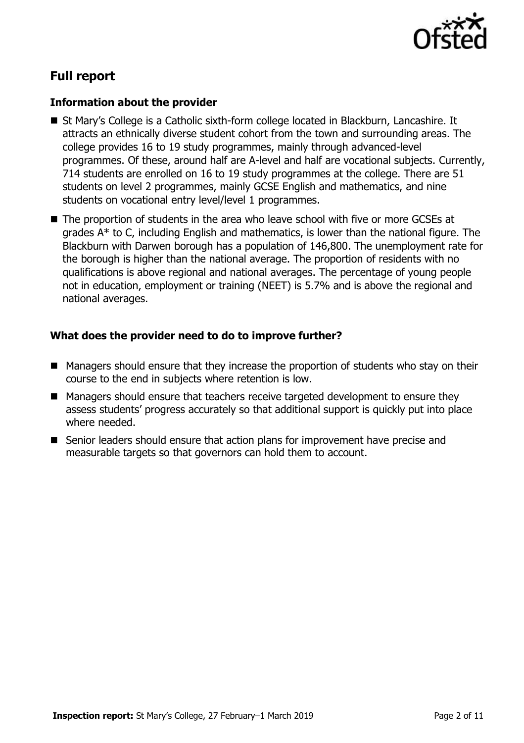

# **Full report**

# **Information about the provider**

- St Mary's College is a Catholic sixth-form college located in Blackburn, Lancashire. It attracts an ethnically diverse student cohort from the town and surrounding areas. The college provides 16 to 19 study programmes, mainly through advanced-level programmes. Of these, around half are A-level and half are vocational subjects. Currently, 714 students are enrolled on 16 to 19 study programmes at the college. There are 51 students on level 2 programmes, mainly GCSE English and mathematics, and nine students on vocational entry level/level 1 programmes.
- The proportion of students in the area who leave school with five or more GCSEs at grades A\* to C, including English and mathematics, is lower than the national figure. The Blackburn with Darwen borough has a population of 146,800. The unemployment rate for the borough is higher than the national average. The proportion of residents with no qualifications is above regional and national averages. The percentage of young people not in education, employment or training (NEET) is 5.7% and is above the regional and national averages.

# **What does the provider need to do to improve further?**

- Managers should ensure that they increase the proportion of students who stay on their course to the end in subjects where retention is low.
- Managers should ensure that teachers receive targeted development to ensure they assess students' progress accurately so that additional support is quickly put into place where needed.
- Senior leaders should ensure that action plans for improvement have precise and measurable targets so that governors can hold them to account.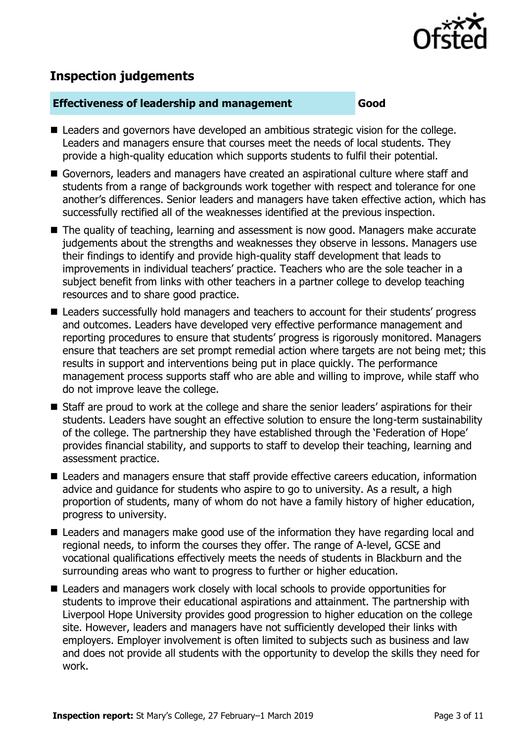

# **Inspection judgements**

#### **Effectiveness of leadership and management Good**

- Leaders and governors have developed an ambitious strategic vision for the college. Leaders and managers ensure that courses meet the needs of local students. They provide a high-quality education which supports students to fulfil their potential.
- Governors, leaders and managers have created an aspirational culture where staff and students from a range of backgrounds work together with respect and tolerance for one another's differences. Senior leaders and managers have taken effective action, which has successfully rectified all of the weaknesses identified at the previous inspection.
- The quality of teaching, learning and assessment is now good. Managers make accurate judgements about the strengths and weaknesses they observe in lessons. Managers use their findings to identify and provide high-quality staff development that leads to improvements in individual teachers' practice. Teachers who are the sole teacher in a subject benefit from links with other teachers in a partner college to develop teaching resources and to share good practice.
- Leaders successfully hold managers and teachers to account for their students' progress and outcomes. Leaders have developed very effective performance management and reporting procedures to ensure that students' progress is rigorously monitored. Managers ensure that teachers are set prompt remedial action where targets are not being met; this results in support and interventions being put in place quickly. The performance management process supports staff who are able and willing to improve, while staff who do not improve leave the college.
- Staff are proud to work at the college and share the senior leaders' aspirations for their students. Leaders have sought an effective solution to ensure the long-term sustainability of the college. The partnership they have established through the 'Federation of Hope' provides financial stability, and supports to staff to develop their teaching, learning and assessment practice.
- Leaders and managers ensure that staff provide effective careers education, information advice and guidance for students who aspire to go to university. As a result, a high proportion of students, many of whom do not have a family history of higher education, progress to university.
- Leaders and managers make good use of the information they have regarding local and regional needs, to inform the courses they offer. The range of A-level, GCSE and vocational qualifications effectively meets the needs of students in Blackburn and the surrounding areas who want to progress to further or higher education.
- Leaders and managers work closely with local schools to provide opportunities for students to improve their educational aspirations and attainment. The partnership with Liverpool Hope University provides good progression to higher education on the college site. However, leaders and managers have not sufficiently developed their links with employers. Employer involvement is often limited to subjects such as business and law and does not provide all students with the opportunity to develop the skills they need for work.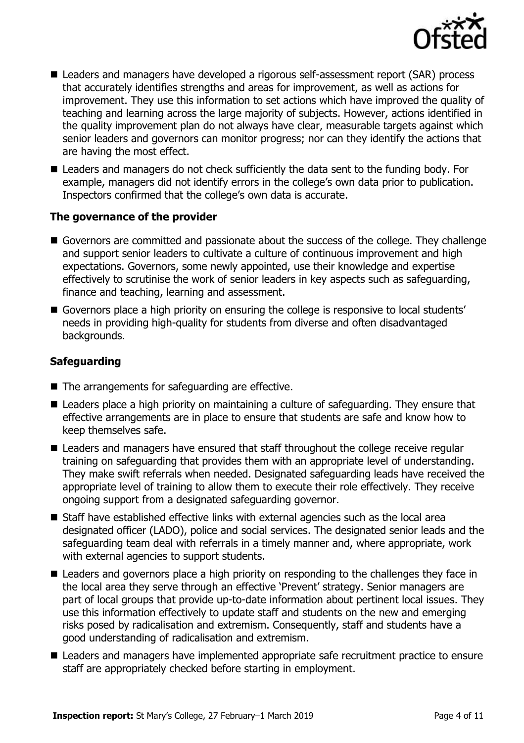

- Leaders and managers have developed a rigorous self-assessment report (SAR) process that accurately identifies strengths and areas for improvement, as well as actions for improvement. They use this information to set actions which have improved the quality of teaching and learning across the large majority of subjects. However, actions identified in the quality improvement plan do not always have clear, measurable targets against which senior leaders and governors can monitor progress; nor can they identify the actions that are having the most effect.
- Leaders and managers do not check sufficiently the data sent to the funding body. For example, managers did not identify errors in the college's own data prior to publication. Inspectors confirmed that the college's own data is accurate.

# **The governance of the provider**

- Governors are committed and passionate about the success of the college. They challenge and support senior leaders to cultivate a culture of continuous improvement and high expectations. Governors, some newly appointed, use their knowledge and expertise effectively to scrutinise the work of senior leaders in key aspects such as safeguarding, finance and teaching, learning and assessment.
- Governors place a high priority on ensuring the college is responsive to local students' needs in providing high-quality for students from diverse and often disadvantaged backgrounds.

# **Safeguarding**

- The arrangements for safeguarding are effective.
- Leaders place a high priority on maintaining a culture of safeguarding. They ensure that effective arrangements are in place to ensure that students are safe and know how to keep themselves safe.
- Leaders and managers have ensured that staff throughout the college receive regular training on safeguarding that provides them with an appropriate level of understanding. They make swift referrals when needed. Designated safeguarding leads have received the appropriate level of training to allow them to execute their role effectively. They receive ongoing support from a designated safeguarding governor.
- Staff have established effective links with external agencies such as the local area designated officer (LADO), police and social services. The designated senior leads and the safeguarding team deal with referrals in a timely manner and, where appropriate, work with external agencies to support students.
- Leaders and governors place a high priority on responding to the challenges they face in the local area they serve through an effective 'Prevent' strategy. Senior managers are part of local groups that provide up-to-date information about pertinent local issues. They use this information effectively to update staff and students on the new and emerging risks posed by radicalisation and extremism. Consequently, staff and students have a good understanding of radicalisation and extremism.
- Leaders and managers have implemented appropriate safe recruitment practice to ensure staff are appropriately checked before starting in employment.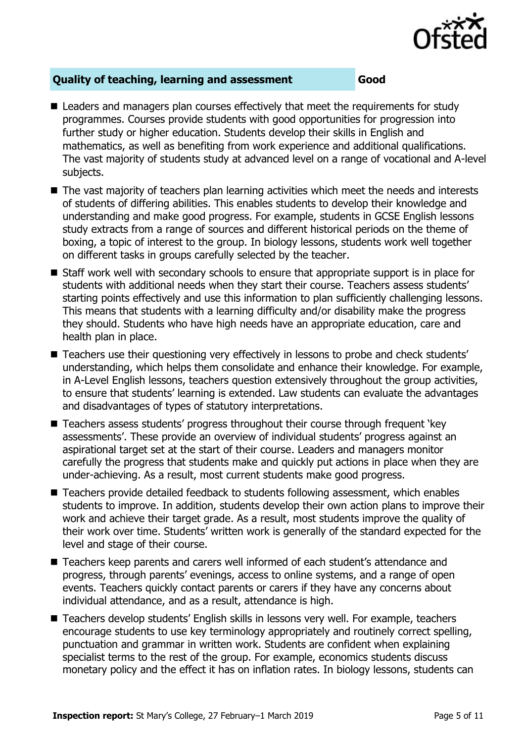

# **Quality of teaching, learning and assessment Good**

- Leaders and managers plan courses effectively that meet the requirements for study programmes. Courses provide students with good opportunities for progression into further study or higher education. Students develop their skills in English and mathematics, as well as benefiting from work experience and additional qualifications. The vast majority of students study at advanced level on a range of vocational and A-level subjects.
- The vast majority of teachers plan learning activities which meet the needs and interests of students of differing abilities. This enables students to develop their knowledge and understanding and make good progress. For example, students in GCSE English lessons study extracts from a range of sources and different historical periods on the theme of boxing, a topic of interest to the group. In biology lessons, students work well together on different tasks in groups carefully selected by the teacher.
- Staff work well with secondary schools to ensure that appropriate support is in place for students with additional needs when they start their course. Teachers assess students' starting points effectively and use this information to plan sufficiently challenging lessons. This means that students with a learning difficulty and/or disability make the progress they should. Students who have high needs have an appropriate education, care and health plan in place.
- Teachers use their questioning very effectively in lessons to probe and check students' understanding, which helps them consolidate and enhance their knowledge. For example, in A-Level English lessons, teachers question extensively throughout the group activities, to ensure that students' learning is extended. Law students can evaluate the advantages and disadvantages of types of statutory interpretations.
- Teachers assess students' progress throughout their course through frequent 'key assessments'. These provide an overview of individual students' progress against an aspirational target set at the start of their course. Leaders and managers monitor carefully the progress that students make and quickly put actions in place when they are under-achieving. As a result, most current students make good progress.
- Teachers provide detailed feedback to students following assessment, which enables students to improve. In addition, students develop their own action plans to improve their work and achieve their target grade. As a result, most students improve the quality of their work over time. Students' written work is generally of the standard expected for the level and stage of their course.
- Teachers keep parents and carers well informed of each student's attendance and progress, through parents' evenings, access to online systems, and a range of open events. Teachers quickly contact parents or carers if they have any concerns about individual attendance, and as a result, attendance is high.
- Teachers develop students' English skills in lessons very well. For example, teachers encourage students to use key terminology appropriately and routinely correct spelling, punctuation and grammar in written work. Students are confident when explaining specialist terms to the rest of the group. For example, economics students discuss monetary policy and the effect it has on inflation rates. In biology lessons, students can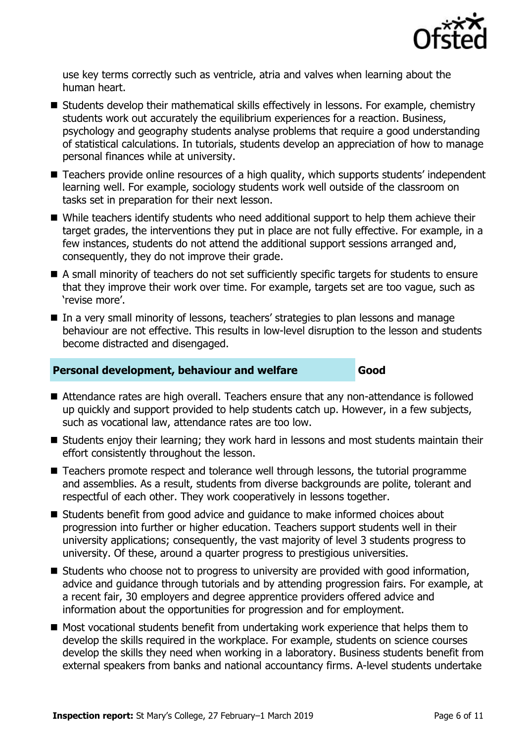

use key terms correctly such as ventricle, atria and valves when learning about the human heart.

- Students develop their mathematical skills effectively in lessons. For example, chemistry students work out accurately the equilibrium experiences for a reaction. Business, psychology and geography students analyse problems that require a good understanding of statistical calculations. In tutorials, students develop an appreciation of how to manage personal finances while at university.
- Teachers provide online resources of a high quality, which supports students' independent learning well. For example, sociology students work well outside of the classroom on tasks set in preparation for their next lesson.
- While teachers identify students who need additional support to help them achieve their target grades, the interventions they put in place are not fully effective. For example, in a few instances, students do not attend the additional support sessions arranged and, consequently, they do not improve their grade.
- A small minority of teachers do not set sufficiently specific targets for students to ensure that they improve their work over time. For example, targets set are too vague, such as 'revise more'.
- In a very small minority of lessons, teachers' strategies to plan lessons and manage behaviour are not effective. This results in low-level disruption to the lesson and students become distracted and disengaged.

### **Personal development, behaviour and welfare <b>Good**

- Attendance rates are high overall. Teachers ensure that any non-attendance is followed up quickly and support provided to help students catch up. However, in a few subjects, such as vocational law, attendance rates are too low.
- Students enjoy their learning; they work hard in lessons and most students maintain their effort consistently throughout the lesson.
- Teachers promote respect and tolerance well through lessons, the tutorial programme and assemblies. As a result, students from diverse backgrounds are polite, tolerant and respectful of each other. They work cooperatively in lessons together.
- Students benefit from good advice and quidance to make informed choices about progression into further or higher education. Teachers support students well in their university applications; consequently, the vast majority of level 3 students progress to university. Of these, around a quarter progress to prestigious universities.
- Students who choose not to progress to university are provided with good information, advice and guidance through tutorials and by attending progression fairs. For example, at a recent fair, 30 employers and degree apprentice providers offered advice and information about the opportunities for progression and for employment.
- Most vocational students benefit from undertaking work experience that helps them to develop the skills required in the workplace. For example, students on science courses develop the skills they need when working in a laboratory. Business students benefit from external speakers from banks and national accountancy firms. A-level students undertake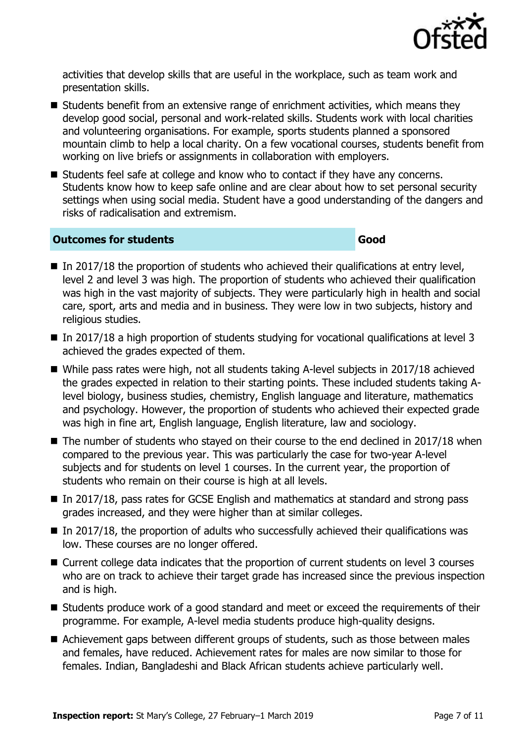

activities that develop skills that are useful in the workplace, such as team work and presentation skills.

- Students benefit from an extensive range of enrichment activities, which means they develop good social, personal and work-related skills. Students work with local charities and volunteering organisations. For example, sports students planned a sponsored mountain climb to help a local charity. On a few vocational courses, students benefit from working on live briefs or assignments in collaboration with employers.
- Students feel safe at college and know who to contact if they have any concerns. Students know how to keep safe online and are clear about how to set personal security settings when using social media. Student have a good understanding of the dangers and risks of radicalisation and extremism.

### **Outcomes for students Good**

- In 2017/18 the proportion of students who achieved their qualifications at entry level, level 2 and level 3 was high. The proportion of students who achieved their qualification was high in the vast majority of subjects. They were particularly high in health and social care, sport, arts and media and in business. They were low in two subjects, history and religious studies.
- $\blacksquare$  In 2017/18 a high proportion of students studying for vocational qualifications at level 3 achieved the grades expected of them.
- While pass rates were high, not all students taking A-level subjects in 2017/18 achieved the grades expected in relation to their starting points. These included students taking Alevel biology, business studies, chemistry, English language and literature, mathematics and psychology. However, the proportion of students who achieved their expected grade was high in fine art, English language, English literature, law and sociology.
- The number of students who stayed on their course to the end declined in 2017/18 when compared to the previous year. This was particularly the case for two-year A-level subjects and for students on level 1 courses. In the current year, the proportion of students who remain on their course is high at all levels.
- In 2017/18, pass rates for GCSE English and mathematics at standard and strong pass grades increased, and they were higher than at similar colleges.
- $\blacksquare$  In 2017/18, the proportion of adults who successfully achieved their qualifications was low. These courses are no longer offered.
- Current college data indicates that the proportion of current students on level 3 courses who are on track to achieve their target grade has increased since the previous inspection and is high.
- Students produce work of a good standard and meet or exceed the requirements of their programme. For example, A-level media students produce high-quality designs.
- Achievement gaps between different groups of students, such as those between males and females, have reduced. Achievement rates for males are now similar to those for females. Indian, Bangladeshi and Black African students achieve particularly well.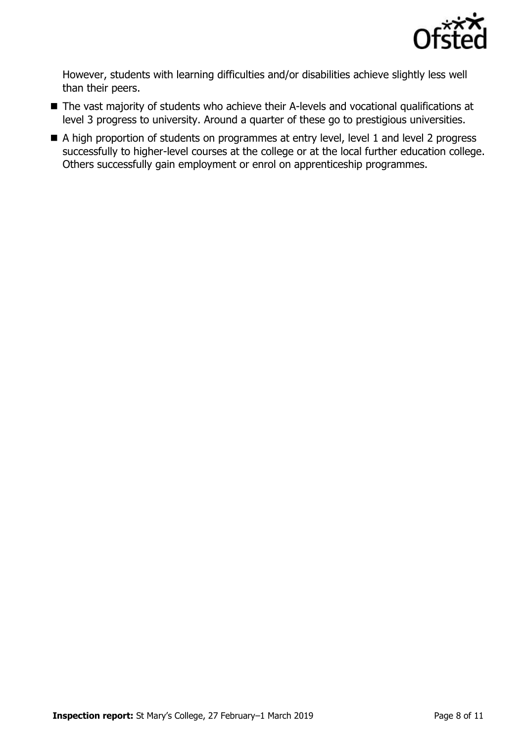

However, students with learning difficulties and/or disabilities achieve slightly less well than their peers.

- The vast majority of students who achieve their A-levels and vocational qualifications at level 3 progress to university. Around a quarter of these go to prestigious universities.
- A high proportion of students on programmes at entry level, level 1 and level 2 progress successfully to higher-level courses at the college or at the local further education college. Others successfully gain employment or enrol on apprenticeship programmes.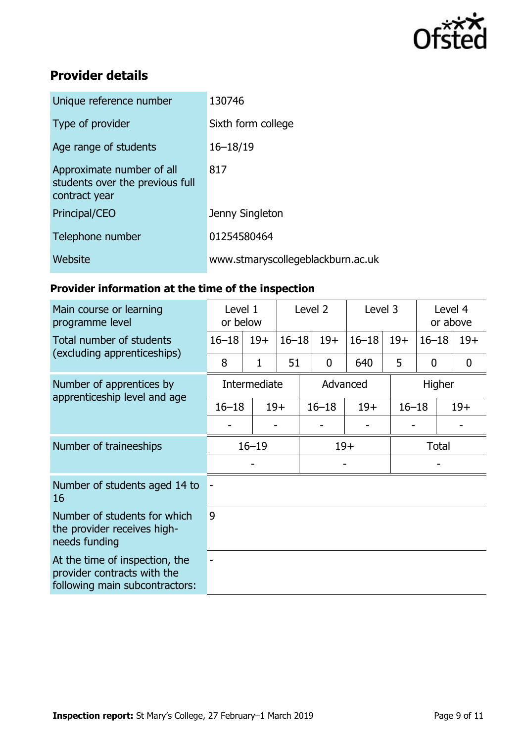

# **Provider details**

| Unique reference number                                                       | 130746                            |
|-------------------------------------------------------------------------------|-----------------------------------|
| Type of provider                                                              | Sixth form college                |
| Age range of students                                                         | $16 - 18/19$                      |
| Approximate number of all<br>students over the previous full<br>contract year | 817                               |
| Principal/CEO                                                                 | Jenny Singleton                   |
| Telephone number                                                              | 01254580464                       |
| Website                                                                       | www.stmaryscollegeblackburn.ac.uk |

# **Provider information at the time of the inspection**

| Main course or learning<br>programme level                                                      | Level 1<br>or below |       | Level 2   |             | Level 3   |           | Level 4<br>or above |       |  |
|-------------------------------------------------------------------------------------------------|---------------------|-------|-----------|-------------|-----------|-----------|---------------------|-------|--|
| Total number of students                                                                        | $16 - 18$           | $19+$ | $16 - 18$ | $19+$       | $16 - 18$ | $19+$     | $16 - 18$           | $19+$ |  |
| (excluding apprenticeships)                                                                     | 8                   | 1     | 51        | $\mathbf 0$ | 640       | 5         | $\boldsymbol{0}$    | 0     |  |
| Number of apprentices by                                                                        | Intermediate        |       |           | Advanced    |           |           | Higher              |       |  |
| apprenticeship level and age                                                                    | $16 - 18$           |       | $19+$     | $16 - 18$   | $19+$     | $16 - 18$ |                     | $19+$ |  |
|                                                                                                 |                     |       |           |             |           |           |                     |       |  |
| Number of traineeships                                                                          | $16 - 19$           |       |           | $19+$       |           |           | <b>Total</b>        |       |  |
|                                                                                                 |                     |       |           |             |           |           |                     |       |  |
| Number of students aged 14 to<br>16                                                             |                     |       |           |             |           |           |                     |       |  |
| Number of students for which<br>the provider receives high-<br>needs funding                    | 9                   |       |           |             |           |           |                     |       |  |
| At the time of inspection, the<br>provider contracts with the<br>following main subcontractors: |                     |       |           |             |           |           |                     |       |  |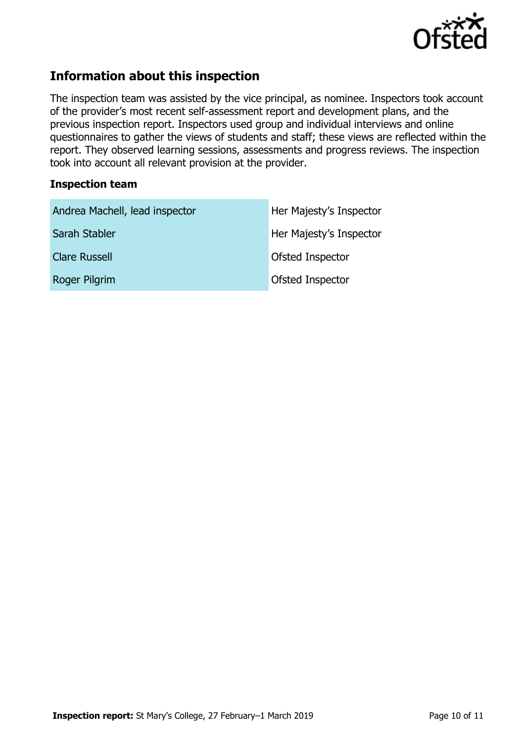

# **Information about this inspection**

The inspection team was assisted by the vice principal, as nominee. Inspectors took account of the provider's most recent self-assessment report and development plans, and the previous inspection report. Inspectors used group and individual interviews and online questionnaires to gather the views of students and staff; these views are reflected within the report. They observed learning sessions, assessments and progress reviews. The inspection took into account all relevant provision at the provider.

### **Inspection team**

| Andrea Machell, lead inspector | Her Majesty's Inspector |
|--------------------------------|-------------------------|
| Sarah Stabler                  | Her Majesty's Inspector |
| <b>Clare Russell</b>           | Ofsted Inspector        |
| Roger Pilgrim                  | Ofsted Inspector        |